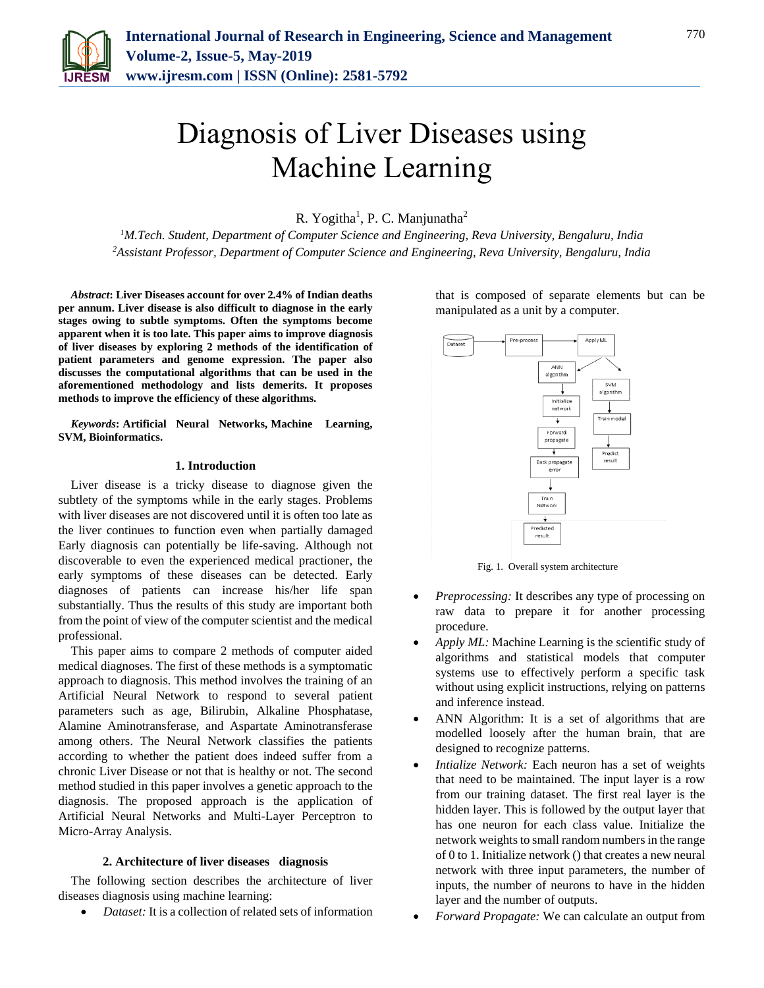

# Diagnosis of Liver Diseases using Machine Learning

R. Yogitha<sup>1</sup>, P. C. Manjunatha<sup>2</sup>

*<sup>1</sup>M.Tech. Student, Department of Computer Science and Engineering, Reva University, Bengaluru, India 2Assistant Professor, Department of Computer Science and Engineering, Reva University, Bengaluru, India*

*Abstract***: Liver Diseases account for over 2.4% of Indian deaths per annum. Liver disease is also difficult to diagnose in the early stages owing to subtle symptoms. Often the symptoms become apparent when it is too late. This paper aims to improve diagnosis of liver diseases by exploring 2 methods of the identification of patient parameters and genome expression. The paper also discusses the computational algorithms that can be used in the aforementioned methodology and lists demerits. It proposes methods to improve the efficiency of these algorithms.**

*Keywords***: Artificial Neural Networks, Machine Learning, SVM, Bioinformatics.**

# **1. Introduction**

Liver disease is a tricky disease to diagnose given the subtlety of the symptoms while in the early stages. Problems with liver diseases are not discovered until it is often too late as the liver continues to function even when partially damaged Early diagnosis can potentially be life-saving. Although not discoverable to even the experienced medical practioner, the early symptoms of these diseases can be detected. Early diagnoses of patients can increase his/her life span substantially. Thus the results of this study are important both from the point of view of the computer scientist and the medical professional.

This paper aims to compare 2 methods of computer aided medical diagnoses. The first of these methods is a symptomatic approach to diagnosis. This method involves the training of an Artificial Neural Network to respond to several patient parameters such as age, Bilirubin, Alkaline Phosphatase, Alamine Aminotransferase, and Aspartate Aminotransferase among others. The Neural Network classifies the patients according to whether the patient does indeed suffer from a chronic Liver Disease or not that is healthy or not. The second method studied in this paper involves a genetic approach to the diagnosis. The proposed approach is the application of Artificial Neural Networks and Multi-Layer Perceptron to Micro-Array Analysis.

#### **2. Architecture of liver diseases diagnosis**

The following section describes the architecture of liver diseases diagnosis using machine learning:

*Dataset:* It is a collection of related sets of information

that is composed of separate elements but can be manipulated as a unit by a computer.



Fig. 1. Overall system architecture

- *Preprocessing:* It describes any type of processing on raw data to prepare it for another processing procedure.
- *Apply ML:* Machine Learning is the scientific study of algorithms and statistical models that computer systems use to effectively perform a specific task without using explicit instructions, relying on patterns and inference instead.
- ANN Algorithm: It is a set of algorithms that are modelled loosely after the human brain, that are designed to recognize patterns.
- *Intialize Network:* Each neuron has a set of weights that need to be maintained. The input layer is a row from our training dataset. The first real layer is the hidden layer. This is followed by the output layer that has one neuron for each class value. Initialize the network weights to small random numbers in the range of 0 to 1. Initialize network () that creates a new neural network with three input parameters, the number of inputs, the number of neurons to have in the hidden layer and the number of outputs.
- *Forward Propagate:* We can calculate an output from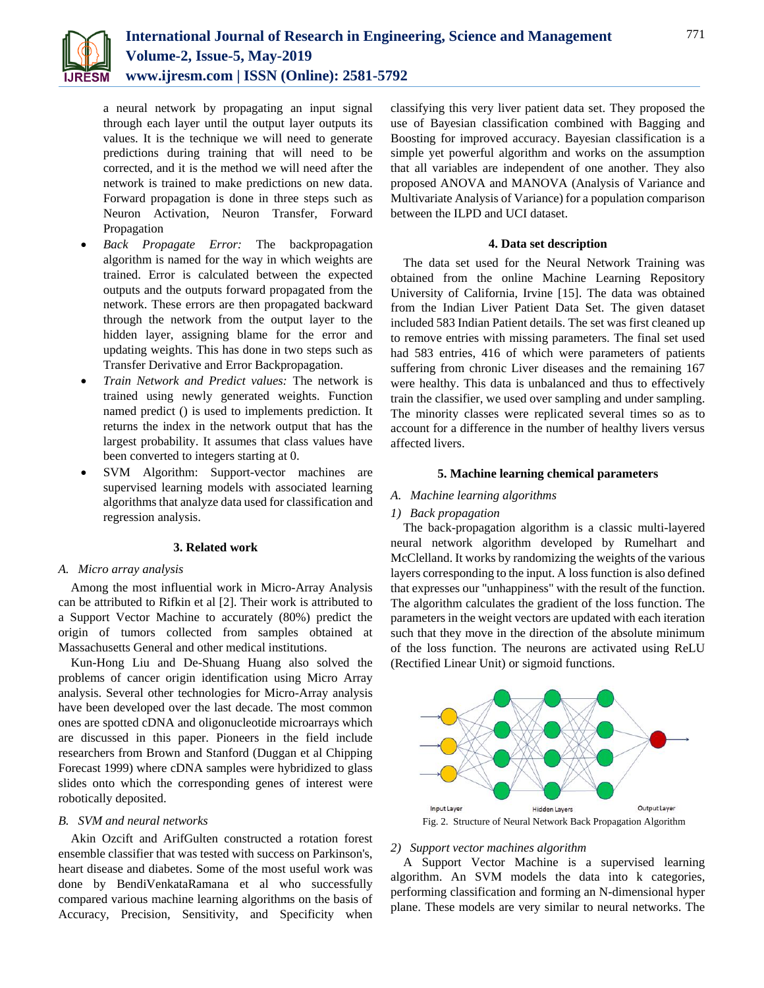

a neural network by propagating an input signal through each layer until the output layer outputs its values. It is the technique we will need to generate predictions during training that will need to be corrected, and it is the method we will need after the network is trained to make predictions on new data. Forward propagation is done in three steps such as Neuron Activation, Neuron Transfer, Forward Propagation

- *Back Propagate Error:* The backpropagation algorithm is named for the way in which weights are trained. Error is calculated between the expected outputs and the outputs forward propagated from the network. These errors are then propagated backward through the network from the output layer to the hidden layer, assigning blame for the error and updating weights. This has done in two steps such as Transfer Derivative and Error Backpropagation.
- *Train Network and Predict values:* The network is trained using newly generated weights. Function named predict () is used to implements prediction. It returns the index in the network output that has the largest probability. It assumes that class values have been converted to integers starting at 0.
- SVM Algorithm: Support-vector machines are supervised learning models with associated learning algorithms that analyze data used for classification and regression analysis.

# **3. Related work**

# *A. Micro array analysis*

Among the most influential work in Micro-Array Analysis can be attributed to Rifkin et al [2]. Their work is attributed to a Support Vector Machine to accurately (80%) predict the origin of tumors collected from samples obtained at Massachusetts General and other medical institutions.

Kun-Hong Liu and De-Shuang Huang also solved the problems of cancer origin identification using Micro Array analysis. Several other technologies for Micro-Array analysis have been developed over the last decade. The most common ones are spotted cDNA and oligonucleotide microarrays which are discussed in this paper. Pioneers in the field include researchers from Brown and Stanford (Duggan et al Chipping Forecast 1999) where cDNA samples were hybridized to glass slides onto which the corresponding genes of interest were robotically deposited.

# *B. SVM and neural networks*

Akin Ozcift and ArifGulten constructed a rotation forest ensemble classifier that was tested with success on Parkinson's, heart disease and diabetes. Some of the most useful work was done by BendiVenkataRamana et al who successfully compared various machine learning algorithms on the basis of Accuracy, Precision, Sensitivity, and Specificity when

classifying this very liver patient data set. They proposed the use of Bayesian classification combined with Bagging and Boosting for improved accuracy. Bayesian classification is a simple yet powerful algorithm and works on the assumption that all variables are independent of one another. They also proposed ANOVA and MANOVA (Analysis of Variance and Multivariate Analysis of Variance) for a population comparison between the ILPD and UCI dataset.

# **4. Data set description**

The data set used for the Neural Network Training was obtained from the online Machine Learning Repository University of California, Irvine [15]. The data was obtained from the Indian Liver Patient Data Set. The given dataset included 583 Indian Patient details. The set was first cleaned up to remove entries with missing parameters. The final set used had 583 entries, 416 of which were parameters of patients suffering from chronic Liver diseases and the remaining 167 were healthy. This data is unbalanced and thus to effectively train the classifier, we used over sampling and under sampling. The minority classes were replicated several times so as to account for a difference in the number of healthy livers versus affected livers.

# **5. Machine learning chemical parameters**

#### *A. Machine learning algorithms*

# *1) Back propagation*

The back-propagation algorithm is a classic multi-layered neural network algorithm developed by Rumelhart and McClelland. It works by randomizing the weights of the various layers corresponding to the input. A loss function is also defined that expresses our "unhappiness" with the result of the function. The algorithm calculates the gradient of the loss function. The parameters in the weight vectors are updated with each iteration such that they move in the direction of the absolute minimum of the loss function. The neurons are activated using ReLU (Rectified Linear Unit) or sigmoid functions.



#### *2) Support vector machines algorithm*

A Support Vector Machine is a supervised learning algorithm. An SVM models the data into k categories, performing classification and forming an N-dimensional hyper plane. These models are very similar to neural networks. The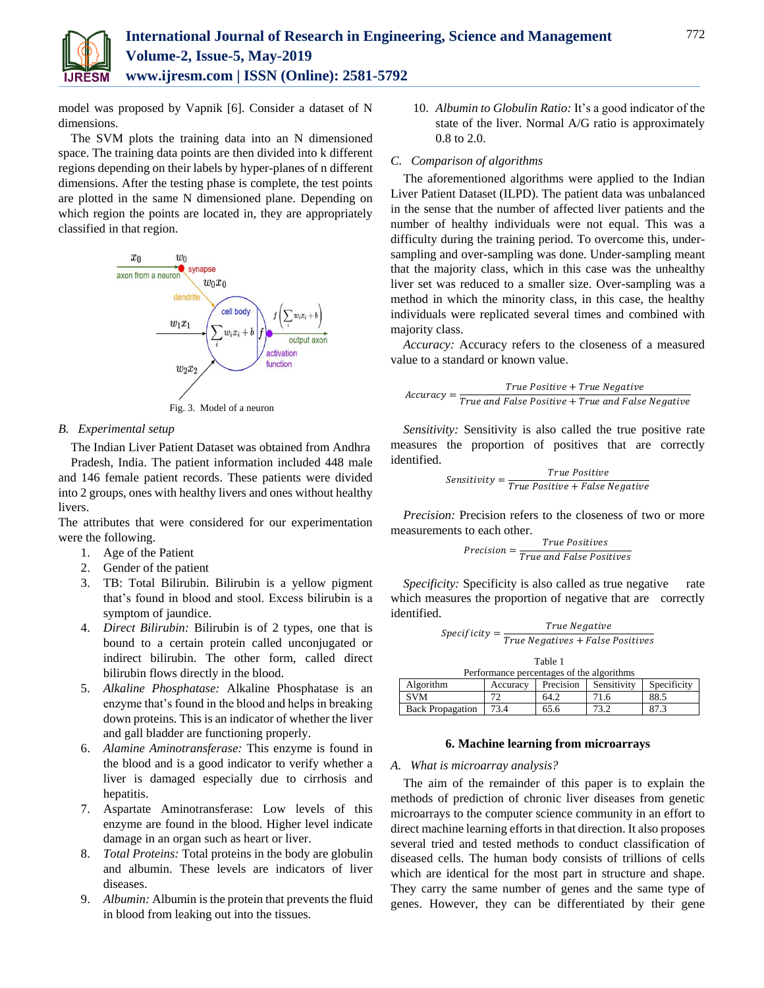

model was proposed by Vapnik [6]. Consider a dataset of N dimensions.

The SVM plots the training data into an N dimensioned space. The training data points are then divided into k different regions depending on their labels by hyper-planes of n different dimensions. After the testing phase is complete, the test points are plotted in the same N dimensioned plane. Depending on which region the points are located in, they are appropriately classified in that region.



#### *B. Experimental setup*

The Indian Liver Patient Dataset was obtained from Andhra Pradesh, India. The patient information included 448 male and 146 female patient records. These patients were divided into 2 groups, ones with healthy livers and ones without healthy livers.

The attributes that were considered for our experimentation were the following.

- 1. Age of the Patient
- 2. Gender of the patient
- 3. TB: Total Bilirubin. Bilirubin is a yellow pigment that's found in blood and stool. Excess bilirubin is a symptom of jaundice.
- 4. *Direct Bilirubin:* Bilirubin is of 2 types, one that is bound to a certain protein called unconjugated or indirect bilirubin. The other form, called direct bilirubin flows directly in the blood.
- 5. *Alkaline Phosphatase:* Alkaline Phosphatase is an enzyme that's found in the blood and helps in breaking down proteins. This is an indicator of whether the liver and gall bladder are functioning properly.
- 6. *Alamine Aminotransferase:* This enzyme is found in the blood and is a good indicator to verify whether a liver is damaged especially due to cirrhosis and hepatitis.
- 7. Aspartate Aminotransferase: Low levels of this enzyme are found in the blood. Higher level indicate damage in an organ such as heart or liver.
- 8. *Total Proteins:* Total proteins in the body are globulin and albumin. These levels are indicators of liver diseases.
- 9. *Albumin:* Albumin is the protein that prevents the fluid in blood from leaking out into the tissues.

10. *Albumin to Globulin Ratio:* It's a good indicator of the state of the liver. Normal A/G ratio is approximately 0.8 to 2.0.

#### *C. Comparison of algorithms*

The aforementioned algorithms were applied to the Indian Liver Patient Dataset (ILPD). The patient data was unbalanced in the sense that the number of affected liver patients and the number of healthy individuals were not equal. This was a difficulty during the training period. To overcome this, undersampling and over-sampling was done. Under-sampling meant that the majority class, which in this case was the unhealthy liver set was reduced to a smaller size. Over-sampling was a method in which the minority class, in this case, the healthy individuals were replicated several times and combined with majority class.

*Accuracy:* Accuracy refers to the closeness of a measured value to a standard or known value.

$$
Accuracy = \frac{True \ Positive + True \ Negative}{True \ and \ False \ Positive + True \ and \ False \ Negative}
$$

*Sensitivity:* Sensitivity is also called the true positive rate measures the proportion of positives that are correctly identified.

$$
Sensitivity = \frac{True \ Positive}{True \ Positive + False \ Negative}
$$

*Precision:* Precision refers to the closeness of two or more measurements to each other.

$$
Precision = \frac{True \ Positive}{True \ and \ False \ Positive}
$$

*Specificity:* Specificity is also called as true negative rate which measures the proportion of negative that are correctly identified.

| $Specificity =$ | True Negative                    |  |
|-----------------|----------------------------------|--|
|                 | True Negatives + False Positives |  |

| Table 1                                   |          |           |             |             |  |
|-------------------------------------------|----------|-----------|-------------|-------------|--|
| Performance percentages of the algorithms |          |           |             |             |  |
| Algorithm                                 | Accuracy | Precision | Sensitivity | Specificity |  |
| <b>SVM</b>                                |          | 64.2      | 71.6        | 88.5        |  |
| <b>Back Propagation</b>                   | 73.4     | 65.6      | 73.2        |             |  |

#### **6. Machine learning from microarrays**

#### *A. What is microarray analysis?*

The aim of the remainder of this paper is to explain the methods of prediction of chronic liver diseases from genetic microarrays to the computer science community in an effort to direct machine learning efforts in that direction. It also proposes several tried and tested methods to conduct classification of diseased cells. The human body consists of trillions of cells which are identical for the most part in structure and shape. They carry the same number of genes and the same type of genes. However, they can be differentiated by their gene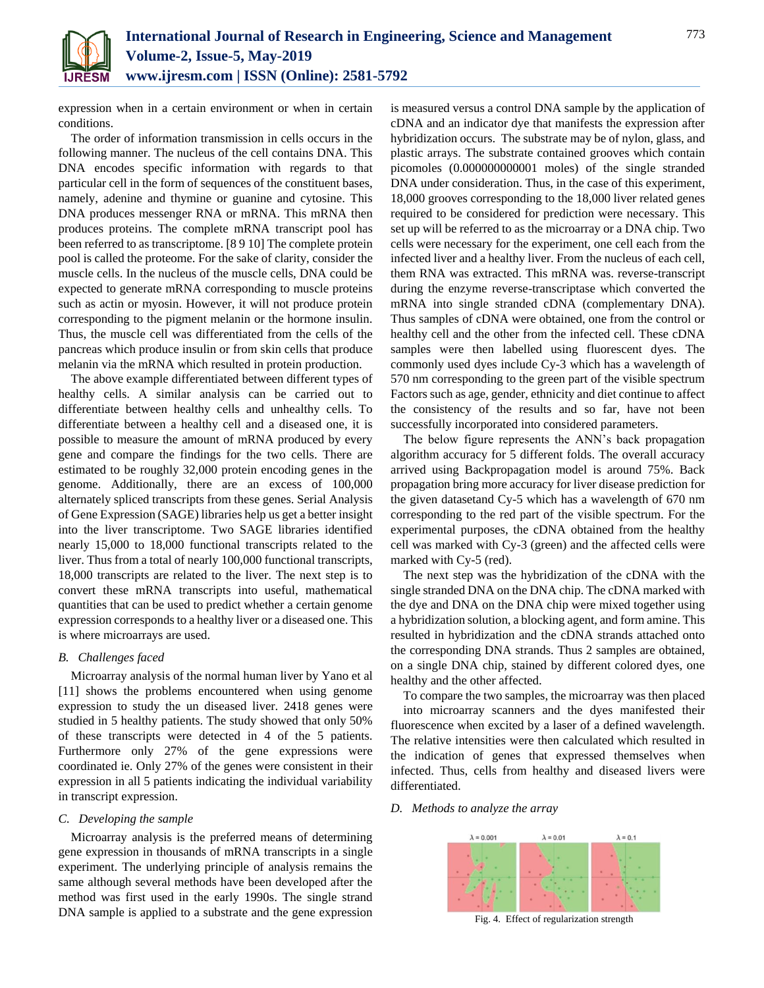

expression when in a certain environment or when in certain conditions.

The order of information transmission in cells occurs in the following manner. The nucleus of the cell contains DNA. This DNA encodes specific information with regards to that particular cell in the form of sequences of the constituent bases, namely, adenine and thymine or guanine and cytosine. This DNA produces messenger RNA or mRNA. This mRNA then produces proteins. The complete mRNA transcript pool has been referred to as transcriptome. [8 9 10] The complete protein pool is called the proteome. For the sake of clarity, consider the muscle cells. In the nucleus of the muscle cells, DNA could be expected to generate mRNA corresponding to muscle proteins such as actin or myosin. However, it will not produce protein corresponding to the pigment melanin or the hormone insulin. Thus, the muscle cell was differentiated from the cells of the pancreas which produce insulin or from skin cells that produce melanin via the mRNA which resulted in protein production.

The above example differentiated between different types of healthy cells. A similar analysis can be carried out to differentiate between healthy cells and unhealthy cells. To differentiate between a healthy cell and a diseased one, it is possible to measure the amount of mRNA produced by every gene and compare the findings for the two cells. There are estimated to be roughly 32,000 protein encoding genes in the genome. Additionally, there are an excess of 100,000 alternately spliced transcripts from these genes. Serial Analysis of Gene Expression (SAGE) libraries help us get a better insight into the liver transcriptome. Two SAGE libraries identified nearly 15,000 to 18,000 functional transcripts related to the liver. Thus from a total of nearly 100,000 functional transcripts, 18,000 transcripts are related to the liver. The next step is to convert these mRNA transcripts into useful, mathematical quantities that can be used to predict whether a certain genome expression corresponds to a healthy liver or a diseased one. This is where microarrays are used.

#### *B. Challenges faced*

Microarray analysis of the normal human liver by Yano et al [11] shows the problems encountered when using genome expression to study the un diseased liver. 2418 genes were studied in 5 healthy patients. The study showed that only 50% of these transcripts were detected in 4 of the 5 patients. Furthermore only 27% of the gene expressions were coordinated ie. Only 27% of the genes were consistent in their expression in all 5 patients indicating the individual variability in transcript expression.

#### *C. Developing the sample*

Microarray analysis is the preferred means of determining gene expression in thousands of mRNA transcripts in a single experiment. The underlying principle of analysis remains the same although several methods have been developed after the method was first used in the early 1990s. The single strand DNA sample is applied to a substrate and the gene expression

is measured versus a control DNA sample by the application of cDNA and an indicator dye that manifests the expression after hybridization occurs. The substrate may be of nylon, glass, and plastic arrays. The substrate contained grooves which contain picomoles (0.000000000001 moles) of the single stranded DNA under consideration. Thus, in the case of this experiment, 18,000 grooves corresponding to the 18,000 liver related genes required to be considered for prediction were necessary. This set up will be referred to as the microarray or a DNA chip. Two cells were necessary for the experiment, one cell each from the infected liver and a healthy liver. From the nucleus of each cell, them RNA was extracted. This mRNA was. reverse-transcript during the enzyme reverse-transcriptase which converted the mRNA into single stranded cDNA (complementary DNA). Thus samples of cDNA were obtained, one from the control or healthy cell and the other from the infected cell. These cDNA samples were then labelled using fluorescent dyes. The commonly used dyes include Cy-3 which has a wavelength of 570 nm corresponding to the green part of the visible spectrum Factors such as age, gender, ethnicity and diet continue to affect the consistency of the results and so far, have not been successfully incorporated into considered parameters.

The below figure represents the ANN's back propagation algorithm accuracy for 5 different folds. The overall accuracy arrived using Backpropagation model is around 75%. Back propagation bring more accuracy for liver disease prediction for the given datasetand Cy-5 which has a wavelength of 670 nm corresponding to the red part of the visible spectrum. For the experimental purposes, the cDNA obtained from the healthy cell was marked with Cy-3 (green) and the affected cells were marked with Cy-5 (red).

The next step was the hybridization of the cDNA with the single stranded DNA on the DNA chip. The cDNA marked with the dye and DNA on the DNA chip were mixed together using a hybridization solution, a blocking agent, and form amine. This resulted in hybridization and the cDNA strands attached onto the corresponding DNA strands. Thus 2 samples are obtained, on a single DNA chip, stained by different colored dyes, one healthy and the other affected.

To compare the two samples, the microarray was then placed into microarray scanners and the dyes manifested their fluorescence when excited by a laser of a defined wavelength. The relative intensities were then calculated which resulted in the indication of genes that expressed themselves when infected. Thus, cells from healthy and diseased livers were differentiated.

#### *D. Methods to analyze the array*



Fig. 4. Effect of regularization strength